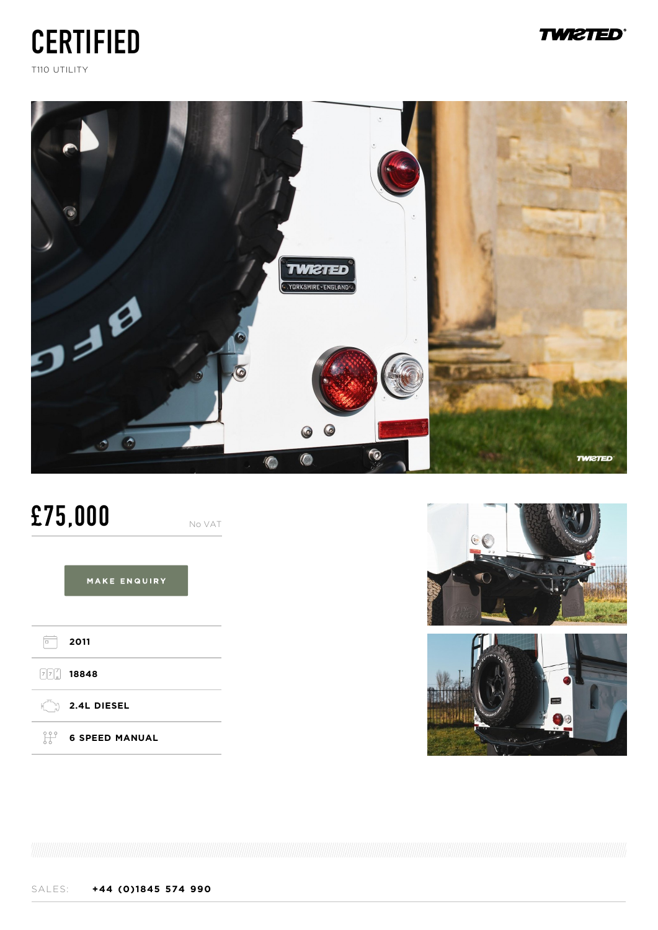# **CERTIFIED**





## £75,000

No VAT

MAKE ENQUIRY







### **TWIZTED®**